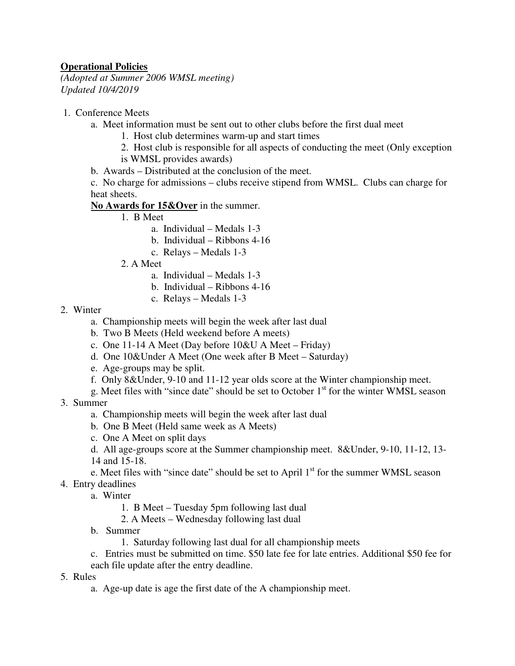## **Operational Policies**

*(Adopted at Summer 2006 WMSL meeting) Updated 10/4/2019* 

- 1. Conference Meets
	- a. Meet information must be sent out to other clubs before the first dual meet
		- 1. Host club determines warm-up and start times
		- 2. Host club is responsible for all aspects of conducting the meet (Only exception is WMSL provides awards)
	- b. Awards Distributed at the conclusion of the meet.

c. No charge for admissions – clubs receive stipend from WMSL. Clubs can charge for heat sheets.

**No Awards for 15&Over** in the summer.

- 1. B Meet
	- a. Individual Medals 1-3
	- b. Individual Ribbons 4-16
	- c. Relays Medals 1-3
- 2. A Meet
	- a. Individual Medals 1-3
	- b. Individual Ribbons 4-16
	- c. Relays Medals 1-3

## 2. Winter

- a. Championship meets will begin the week after last dual
- b. Two B Meets (Held weekend before A meets)
- c. One 11-14 A Meet (Day before 10&U A Meet Friday)
- d. One 10&Under A Meet (One week after B Meet Saturday)
- e. Age-groups may be split.
- f. Only 8&Under, 9-10 and 11-12 year olds score at the Winter championship meet.
- g. Meet files with "since date" should be set to October  $1<sup>st</sup>$  for the winter WMSL season
- 3. Summer
	- a. Championship meets will begin the week after last dual
	- b. One B Meet (Held same week as A Meets)
	- c. One A Meet on split days
	- d. All age-groups score at the Summer championship meet. 8&Under, 9-10, 11-12, 13- 14 and 15-18.
	- e. Meet files with "since date" should be set to April  $1<sup>st</sup>$  for the summer WMSL season
- 4. Entry deadlines
	- a. Winter
		- 1. B Meet Tuesday 5pm following last dual
		- 2. A Meets Wednesday following last dual
	- b. Summer
		- 1. Saturday following last dual for all championship meets
	- c. Entries must be submitted on time. \$50 late fee for late entries. Additional \$50 fee for
	- each file update after the entry deadline.
- 5. Rules
	- a. Age-up date is age the first date of the A championship meet.